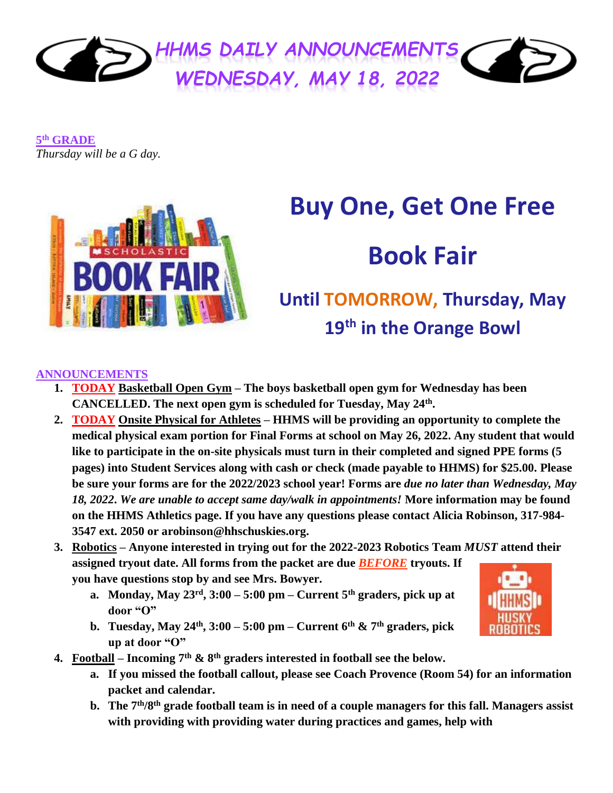

**5 th GRADE** *Thursday will be a G day.*



# **Buy One, Get One Free**

# **Book Fair**

# **Until TOMORROW, Thursday, May 19th in the Orange Bowl**

### **ANNOUNCEMENTS**

- **1. TODAY Basketball Open Gym – The boys basketball open gym for Wednesday has been CANCELLED. The next open gym is scheduled for Tuesday, May 24th .**
- **2. TODAY Onsite Physical for Athletes – HHMS will be providing an opportunity to complete the medical physical exam portion for Final Forms at school on May 26, 2022. Any student that would like to participate in the on-site physicals must turn in their completed and signed PPE forms (5 pages) into Student Services along with cash or check (made payable to HHMS) for \$25.00. Please be sure your forms are for the 2022/2023 school year! Forms are** *due no later than Wednesday, May 18, 2022***.** *We are unable to accept same day/walk in appointments!* **More information may be found on the HHMS Athletics page. If you have any questions please contact Alicia Robinson, 317-984- 3547 ext. 2050 or arobinson@hhschuskies.org.**
- **3. Robotics – Anyone interested in trying out for the 2022-2023 Robotics Team** *MUST* **attend their assigned tryout date. All forms from the packet are due** *BEFORE* **tryouts. If you have questions stop by and see Mrs. Bowyer.**
	- **a. Monday, May 23rd, 3:00 – 5:00 pm – Current 5th graders, pick up at door "O"**
	- **b. Tuesday, May 24th, 3:00 – 5:00 pm – Current 6th & 7th graders, pick up at door "O"**



- **4. Football – Incoming 7th & 8th graders interested in football see the below.**
	- **a. If you missed the football callout, please see Coach Provence (Room 54) for an information packet and calendar.**
	- **b. The 7th/8th grade football team is in need of a couple managers for this fall. Managers assist with providing with providing water during practices and games, help with**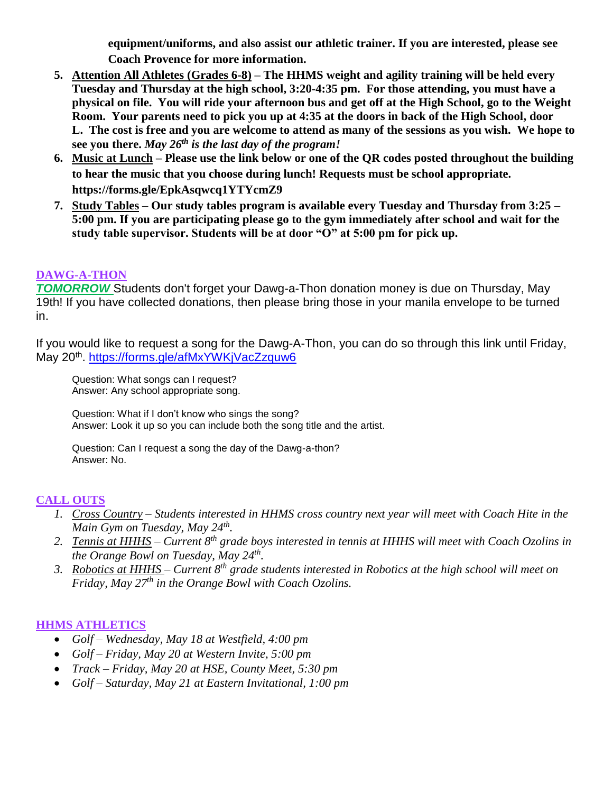**equipment/uniforms, and also assist our athletic trainer. If you are interested, please see Coach Provence for more information.**

- **5. Attention All Athletes (Grades 6-8) – The HHMS weight and agility training will be held every Tuesday and Thursday at the high school, 3:20-4:35 pm. For those attending, you must have a physical on file. You will ride your afternoon bus and get off at the High School, go to the Weight Room. Your parents need to pick you up at 4:35 at the doors in back of the High School, door L. The cost is free and you are welcome to attend as many of the sessions as you wish. We hope to see you there.** *May 26th is the last day of the program!*
- **6. Music at Lunch – Please use the link below or one of the QR codes posted throughout the building to hear the music that you choose during lunch! Requests must be school appropriate. <https://forms.gle/EpkAsqwcq1YTYcmZ9>**
- **7. Study Tables – Our study tables program is available every Tuesday and Thursday from 3:25 – 5:00 pm. If you are participating please go to the gym immediately after school and wait for the study table supervisor. Students will be at door "O" at 5:00 pm for pick up.**

#### **DAWG-A-THON**

**TOMORROW** Students don't forget your Dawg-a-Thon donation money is due on Thursday, May 19th! If you have collected donations, then please bring those in your manila envelope to be turned in.

If you would like to request a song for the Dawg-A-Thon, you can do so through this link until Friday, May 20<sup>th</sup>. <u>https://forms.gle/afMxYWKjVacZzquw6</u>

Question: What songs can I request? Answer: Any school appropriate song.

Question: What if I don't know who sings the song? Answer: Look it up so you can include both the song title and the artist.

Question: Can I request a song the day of the Dawg-a-thon? Answer: No.

#### **CALL OUTS**

- *1. Cross Country – Students interested in HHMS cross country next year will meet with Coach Hite in the Main Gym on Tuesday, May 24th .*
- *2. Tennis at HHHS – Current 8th grade boys interested in tennis at HHHS will meet with Coach Ozolins in the Orange Bowl on Tuesday, May 24th .*
- *3. Robotics at HHHS – Current 8th grade students interested in Robotics at the high school will meet on Friday, May 27th in the Orange Bowl with Coach Ozolins.*

#### **HHMS ATHLETICS**

- *Golf – Wednesday, May 18 at Westfield, 4:00 pm*
- *Golf – Friday, May 20 at Western Invite, 5:00 pm*
- *Track – Friday, May 20 at HSE, County Meet, 5:30 pm*
- *Golf – Saturday, May 21 at Eastern Invitational, 1:00 pm*